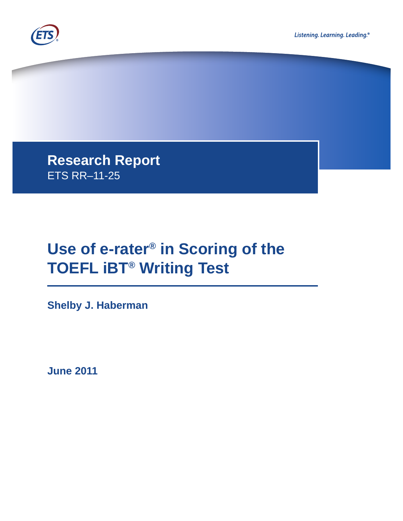



**Research Report**  ETS RR–11-25

# **Use of e-rater® in Scoring of the TOEFL iBT® Writing Test**

**Shelby J. Haberman**

**June 2011**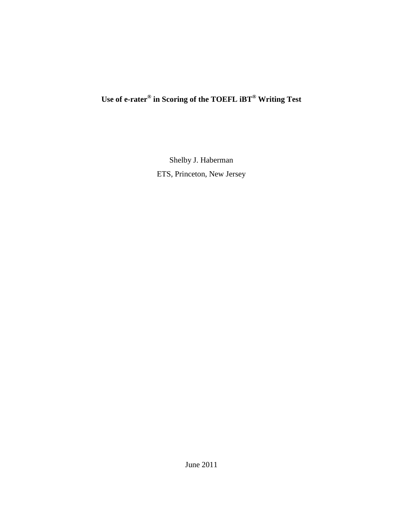## **Use of e-rater® in Scoring of the TOEFL iBT® Writing Test**

Shelby J. Haberman ETS, Princeton, New Jersey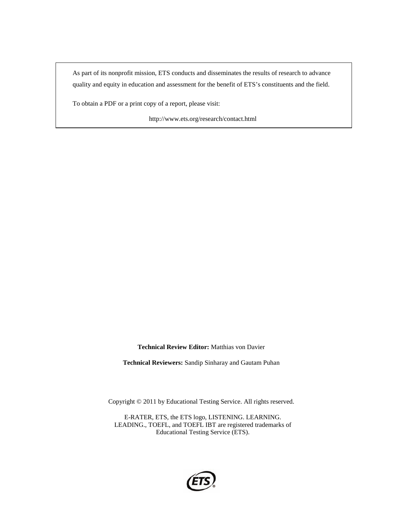As part of its nonprofit mission, ETS conducts and disseminates the results of research to advance quality and equity in education and assessment for the benefit of ETS's constituents and the field.

To obtain a PDF or a print copy of a report, please visit:

http://www.ets.org/research/contact.html

**Technical Review Editor:** Matthias von Davier

**Technical Reviewers:** Sandip Sinharay and Gautam Puhan

Copyright © 2011 by Educational Testing Service. All rights reserved.

E-RATER, ETS, the ETS logo, LISTENING. LEARNING. LEADING., TOEFL, and TOEFL IBT are registered trademarks of Educational Testing Service (ETS).

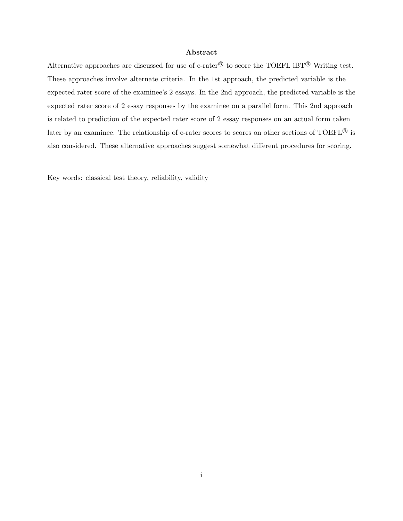### Abstract

Alternative approaches are discussed for use of e-rater<sup>®</sup> to score the TOEFL iBT<sup>®</sup> Writing test. These approaches involve alternate criteria. In the 1st approach, the predicted variable is the expected rater score of the examinee's 2 essays. In the 2nd approach, the predicted variable is the expected rater score of 2 essay responses by the examinee on a parallel form. This 2nd approach is related to prediction of the expected rater score of 2 essay responses on an actual form taken later by an examinee. The relationship of e-rater scores to scores on other sections of TOEFL<sup>®</sup> is also considered. These alternative approaches suggest somewhat different procedures for scoring.

Key words: classical test theory, reliability, validity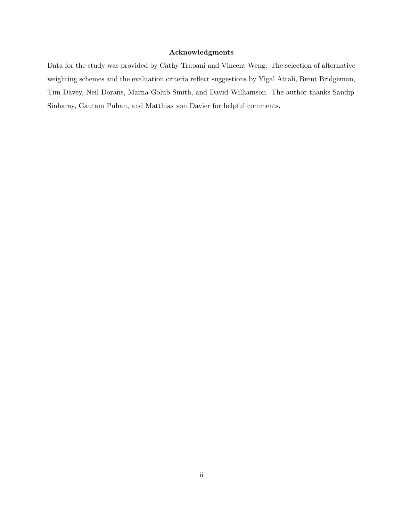#### Acknowledgments

Data for the study was provided by Cathy Trapani and Vincent Weng. The selection of alternative weighting schemes and the evaluation criteria reflect suggestions by Yigal Attali, Brent Bridgeman, Tim Davey, Neil Dorans, Marna Golub-Smith, and David Williamson. The author thanks Sandip Sinharay, Gautam Puhan, and Matthias von Davier for helpful comments.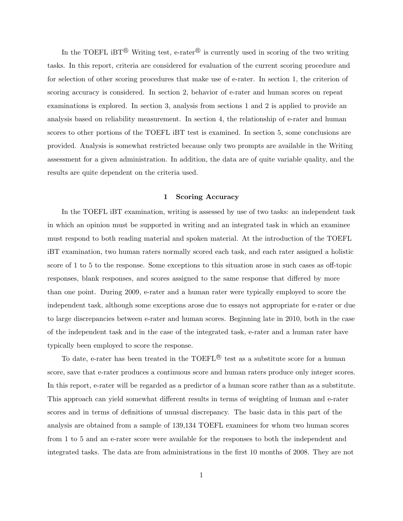In the TOEFL iBT<sup>®</sup> Writing test, e-rater<sup>®</sup> is currently used in scoring of the two writing tasks. In this report, criteria are considered for evaluation of the current scoring procedure and for selection of other scoring procedures that make use of e-rater. In section 1, the criterion of scoring accuracy is considered. In section 2, behavior of e-rater and human scores on repeat examinations is explored. In section 3, analysis from sections 1 and 2 is applied to provide an analysis based on reliability measurement. In section 4, the relationship of e-rater and human scores to other portions of the TOEFL iBT test is examined. In section 5, some conclusions are provided. Analysis is somewhat restricted because only two prompts are available in the Writing assessment for a given administration. In addition, the data are of quite variable quality, and the results are quite dependent on the criteria used.

#### 1 Scoring Accuracy

In the TOEFL iBT examination, writing is assessed by use of two tasks: an independent task in which an opinion must be supported in writing and an integrated task in which an examinee must respond to both reading material and spoken material. At the introduction of the TOEFL iBT examination, two human raters normally scored each task, and each rater assigned a holistic score of 1 to 5 to the response. Some exceptions to this situation arose in such cases as off-topic responses, blank responses, and scores assigned to the same response that differed by more than one point. During 2009, e-rater and a human rater were typically employed to score the independent task, although some exceptions arose due to essays not appropriate for e-rater or due to large discrepancies between e-rater and human scores. Beginning late in 2010, both in the case of the independent task and in the case of the integrated task, e-rater and a human rater have typically been employed to score the response.

To date, e-rater has been treated in the TOEFL<sup>®</sup> test as a substitute score for a human score, save that e-rater produces a continuous score and human raters produce only integer scores. In this report, e-rater will be regarded as a predictor of a human score rather than as a substitute. This approach can yield somewhat different results in terms of weighting of human and e-rater scores and in terms of definitions of unusual discrepancy. The basic data in this part of the analysis are obtained from a sample of 139,134 TOEFL examinees for whom two human scores from 1 to 5 and an e-rater score were available for the responses to both the independent and integrated tasks. The data are from administrations in the first 10 months of 2008. They are not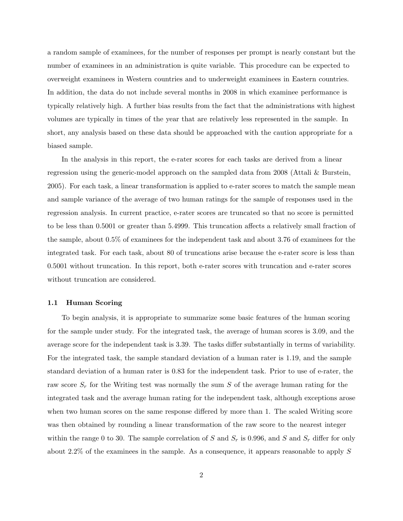a random sample of examinees, for the number of responses per prompt is nearly constant but the number of examinees in an administration is quite variable. This procedure can be expected to overweight examinees in Western countries and to underweight examinees in Eastern countries. In addition, the data do not include several months in 2008 in which examinee performance is typically relatively high. A further bias results from the fact that the administrations with highest volumes are typically in times of the year that are relatively less represented in the sample. In short, any analysis based on these data should be approached with the caution appropriate for a biased sample.

In the analysis in this report, the e-rater scores for each tasks are derived from a linear regression using the generic-model approach on the sampled data from 2008 (Attali & Burstein, 2005). For each task, a linear transformation is applied to e-rater scores to match the sample mean and sample variance of the average of two human ratings for the sample of responses used in the regression analysis. In current practice, e-rater scores are truncated so that no score is permitted to be less than 0.5001 or greater than 5.4999. This truncation affects a relatively small fraction of the sample, about 0.5% of examinees for the independent task and about 3.76 of examinees for the integrated task. For each task, about 80 of truncations arise because the e-rater score is less than 0.5001 without truncation. In this report, both e-rater scores with truncation and e-rater scores without truncation are considered.

#### 1.1 Human Scoring

To begin analysis, it is appropriate to summarize some basic features of the human scoring for the sample under study. For the integrated task, the average of human scores is 3.09, and the average score for the independent task is 3.39. The tasks differ substantially in terms of variability. For the integrated task, the sample standard deviation of a human rater is 1.19, and the sample standard deviation of a human rater is 0.83 for the independent task. Prior to use of e-rater, the raw score  $S_r$  for the Writing test was normally the sum S of the average human rating for the integrated task and the average human rating for the independent task, although exceptions arose when two human scores on the same response differed by more than 1. The scaled Writing score was then obtained by rounding a linear transformation of the raw score to the nearest integer within the range 0 to 30. The sample correlation of S and  $S_r$  is 0.996, and S and  $S_r$  differ for only about 2.2% of the examinees in the sample. As a consequence, it appears reasonable to apply S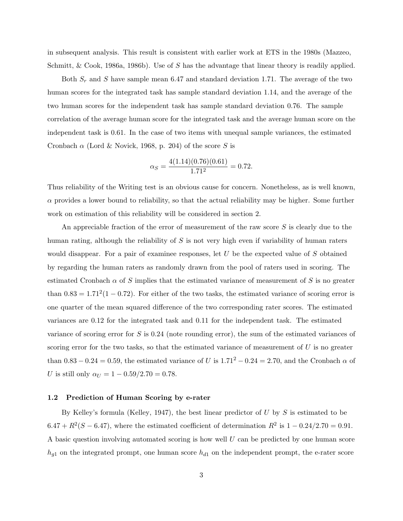in subsequent analysis. This result is consistent with earlier work at ETS in the 1980s (Mazzeo, Schmitt, & Cook, 1986a, 1986b). Use of S has the advantage that linear theory is readily applied.

Both  $S_r$  and S have sample mean 6.47 and standard deviation 1.71. The average of the two human scores for the integrated task has sample standard deviation 1.14, and the average of the two human scores for the independent task has sample standard deviation 0.76. The sample correlation of the average human score for the integrated task and the average human score on the independent task is 0.61. In the case of two items with unequal sample variances, the estimated Cronbach  $\alpha$  (Lord & Novick, 1968, p. 204) of the score S is

$$
\alpha_S = \frac{4(1.14)(0.76)(0.61)}{1.71^2} = 0.72.
$$

Thus reliability of the Writing test is an obvious cause for concern. Nonetheless, as is well known,  $\alpha$  provides a lower bound to reliability, so that the actual reliability may be higher. Some further work on estimation of this reliability will be considered in section 2.

An appreciable fraction of the error of measurement of the raw score  $S$  is clearly due to the human rating, although the reliability of S is not very high even if variability of human raters would disappear. For a pair of examinee responses, let  $U$  be the expected value of  $S$  obtained by regarding the human raters as randomly drawn from the pool of raters used in scoring. The estimated Cronbach  $\alpha$  of S implies that the estimated variance of measurement of S is no greater than  $0.83 = 1.71^2(1 - 0.72)$ . For either of the two tasks, the estimated variance of scoring error is one quarter of the mean squared difference of the two corresponding rater scores. The estimated variances are 0.12 for the integrated task and 0.11 for the independent task. The estimated variance of scoring error for S is 0.24 (note rounding error), the sum of the estimated variances of scoring error for the two tasks, so that the estimated variance of measurement of  $U$  is no greater than 0.83 – 0.24 = 0.59, the estimated variance of U is  $1.71^2 - 0.24 = 2.70$ , and the Cronbach  $\alpha$  of U is still only  $\alpha_U = 1 - 0.59/2.70 = 0.78$ .

#### 1.2 Prediction of Human Scoring by e-rater

By Kelley's formula (Kelley, 1947), the best linear predictor of  $U$  by  $S$  is estimated to be  $6.47 + R^2(S - 6.47)$ , where the estimated coefficient of determination  $R^2$  is  $1 - 0.24/2.70 = 0.91$ . A basic question involving automated scoring is how well  $U$  can be predicted by one human score  $h_{g1}$  on the integrated prompt, one human score  $h_{d1}$  on the independent prompt, the e-rater score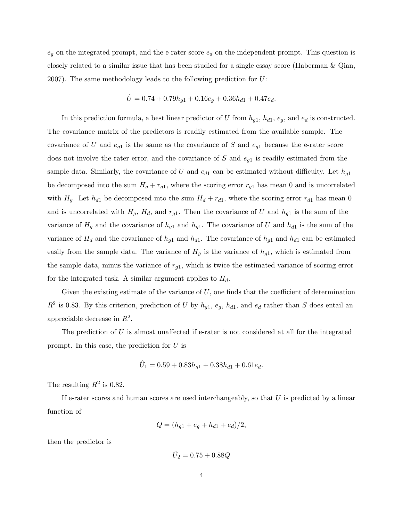$e_g$  on the integrated prompt, and the e-rater score  $e_d$  on the independent prompt. This question is closely related to a similar issue that has been studied for a single essay score (Haberman & Qian, 2007). The same methodology leads to the following prediction for  $U$ :

$$
\hat{U} = 0.74 + 0.79h_{g1} + 0.16e_g + 0.36h_{d1} + 0.47e_d.
$$

In this prediction formula, a best linear predictor of U from  $h_{g1}$ ,  $h_{d1}$ ,  $e_g$ , and  $e_d$  is constructed. The covariance matrix of the predictors is readily estimated from the available sample. The covariance of U and  $e_{g1}$  is the same as the covariance of S and  $e_{g1}$  because the e-rater score does not involve the rater error, and the covariance of  $S$  and  $e_{g1}$  is readily estimated from the sample data. Similarly, the covariance of U and  $e_{d1}$  can be estimated without difficulty. Let  $h_{q1}$ be decomposed into the sum  $H_g + r_{g1}$ , where the scoring error  $r_{g1}$  has mean 0 and is uncorrelated with  $H<sub>g</sub>$ . Let  $h<sub>d1</sub>$  be decomposed into the sum  $H<sub>d</sub> + r<sub>d1</sub>$ , where the scoring error  $r<sub>d1</sub>$  has mean 0 and is uncorrelated with  $H_g$ ,  $H_d$ , and  $r_{g1}$ . Then the covariance of U and  $h_{g1}$  is the sum of the variance of  $H_g$  and the covariance of  $h_{g1}$  and  $h_{g1}$ . The covariance of U and  $h_{d1}$  is the sum of the variance of  $H_d$  and the covariance of  $h_{g1}$  and  $h_{d1}$ . The covariance of  $h_{g1}$  and  $h_{d1}$  can be estimated easily from the sample data. The variance of  $H<sub>g</sub>$  is the variance of  $h<sub>g1</sub>$ , which is estimated from the sample data, minus the variance of  $r_{g1}$ , which is twice the estimated variance of scoring error for the integrated task. A similar argument applies to  $H_d$ .

Given the existing estimate of the variance of  $U$ , one finds that the coefficient of determination  $R^2$  is 0.83. By this criterion, prediction of U by  $h_{g1}, e_g, h_{d1}$ , and  $e_d$  rather than S does entail an appreciable decrease in  $R^2$ .

The prediction of  $U$  is almost unaffected if e-rater is not considered at all for the integrated prompt. In this case, the prediction for U is

$$
\hat{U}_1 = 0.59 + 0.83h_{g1} + 0.38h_{d1} + 0.61e_d.
$$

The resulting  $R^2$  is 0.82.

If e-rater scores and human scores are used interchangeably, so that  $U$  is predicted by a linear function of

$$
Q = (h_{g1} + e_g + h_{d1} + e_d)/2,
$$

then the predictor is

$$
\hat{U}_2 = 0.75 + 0.88Q
$$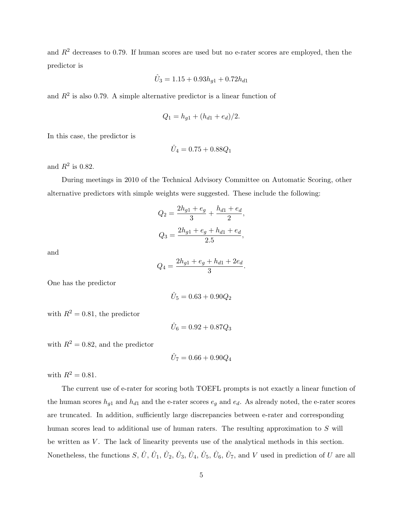and  $R<sup>2</sup>$  decreases to 0.79. If human scores are used but no e-rater scores are employed, then the predictor is

$$
\hat{U}_3 = 1.15 + 0.93 h_{g1} + 0.72 h_{d1}
$$

and  $R<sup>2</sup>$  is also 0.79. A simple alternative predictor is a linear function of

$$
Q_1 = h_{g1} + (h_{d1} + e_d)/2.
$$

In this case, the predictor is

$$
\hat{U}_4 = 0.75 + 0.88 Q_1
$$

and  $R^2$  is 0.82.

During meetings in 2010 of the Technical Advisory Committee on Automatic Scoring, other alternative predictors with simple weights were suggested. These include the following:

$$
Q_2 = \frac{2h_{g1} + e_g}{3} + \frac{h_{d1} + e_d}{2},
$$
  

$$
Q_3 = \frac{2h_{g1} + e_g + h_{d1} + e_d}{2.5},
$$

and

$$
Q_4 = \frac{2h_{g1} + e_g + h_{d1} + 2e_d}{3}
$$

.

One has the predictor

$$
\hat{U}_5 = 0.63 + 0.90 Q_2
$$

with  $R^2 = 0.81$ , the predictor

$$
\hat{U}_6 = 0.92 + 0.87 Q_3
$$

with  $R^2 = 0.82$ , and the predictor

$$
\hat{U}_7 = 0.66 + 0.90Q_4
$$

with  $R^2 = 0.81$ .

The current use of e-rater for scoring both TOEFL prompts is not exactly a linear function of the human scores  $h_{g1}$  and  $h_{d1}$  and the e-rater scores  $e_g$  and  $e_d$ . As already noted, the e-rater scores are truncated. In addition, sufficiently large discrepancies between e-rater and corresponding human scores lead to additional use of human raters. The resulting approximation to S will be written as  $V$ . The lack of linearity prevents use of the analytical methods in this section. Nonetheless, the functions  $S, \hat{U}, \hat{U}_1, \hat{U}_2, \hat{U}_3, \hat{U}_4, \hat{U}_5, \hat{U}_6, \hat{U}_7$ , and V used in prediction of U are all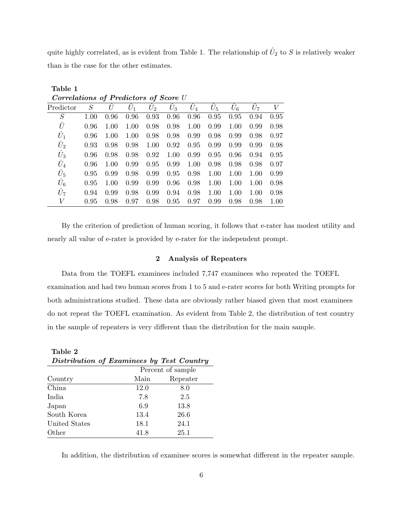quite highly correlated, as is evident from Table 1. The relationship of  $\hat{U}_2$  to S is relatively weaker than is the case for the other estimates.

| $\mathbf{U}$ correlations $\mathbf{U}$ <b>r</b> realctors $\mathbf{U}$ score $\mathbf{U}$ |      |      |       |       |       |       |       |       |       |      |
|-------------------------------------------------------------------------------------------|------|------|-------|-------|-------|-------|-------|-------|-------|------|
| Predictor                                                                                 | S    | U    | $U_1$ | $U_2$ | $U_3$ | $U_4$ | $U_5$ | $U_6$ | $U_7$ | V    |
| S                                                                                         | 1.00 | 0.96 | 0.96  | 0.93  | 0.96  | 0.96  | 0.95  | 0.95  | 0.94  | 0.95 |
| Û                                                                                         | 0.96 | 1.00 | 1.00  | 0.98  | 0.98  | 1.00  | 0.99  | 1.00  | 0.99  | 0.98 |
| $\hat{U}_1$                                                                               | 0.96 | 1.00 | 1.00  | 0.98  | 0.98  | 0.99  | 0.98  | 0.99  | 0.98  | 0.97 |
| $\hat{U}_2$                                                                               | 0.93 | 0.98 | 0.98  | 1.00  | 0.92  | 0.95  | 0.99  | 0.99  | 0.99  | 0.98 |
| $\hat{U}_3$                                                                               | 0.96 | 0.98 | 0.98  | 0.92  | 1.00  | 0.99  | 0.95  | 0.96  | 0.94  | 0.95 |
| $\hat{U}_4$                                                                               | 0.96 | 1.00 | 0.99  | 0.95  | 0.99  | 1.00  | 0.98  | 0.98  | 0.98  | 0.97 |
| $\hat{U}_5$                                                                               | 0.95 | 0.99 | 0.98  | 0.99  | 0.95  | 0.98  | 1.00  | 1.00  | 1.00  | 0.99 |
| $U_6$                                                                                     | 0.95 | 1.00 | 0.99  | 0.99  | 0.96  | 0.98  | 1.00  | 1.00  | 1.00  | 0.98 |
| $\hat{U}_7$                                                                               | 0.94 | 0.99 | 0.98  | 0.99  | 0.94  | 0.98  | 1.00  | 1.00  | 1.00  | 0.98 |
| V                                                                                         | 0.95 | 0.98 | 0.97  | 0.98  | 0.95  | 0.97  | 0.99  | 0.98  | 0.98  | 1.00 |

Correlations of Predictors of Score II

Table 1

By the criterion of prediction of human scoring, it follows that e-rater has modest utility and nearly all value of e-rater is provided by e-rater for the independent prompt.

#### 2 Analysis of Repeaters

Data from the TOEFL examinees included 7,747 examinees who repeated the TOEFL examination and had two human scores from 1 to 5 and e-rater scores for both Writing prompts for both administrations studied. These data are obviously rather biased given that most examinees do not repeat the TOEFL examination. As evident from Table 2, the distribution of test country in the sample of repeaters is very different than the distribution for the main sample.

| Table 2                                   |      |                   |  |  |
|-------------------------------------------|------|-------------------|--|--|
| Distribution of Examinees by Test Country |      |                   |  |  |
|                                           |      | Percent of sample |  |  |
| Country                                   | Main | Repeater          |  |  |
| China.                                    | 12.0 | 8.0               |  |  |
| India                                     | 7.8  | 2.5               |  |  |
| Japan                                     | 6.9  | 13.8              |  |  |
| South Korea                               | 13.4 | 26.6              |  |  |
| United States                             | 18.1 | 24.1              |  |  |
| Other                                     | 41.8 | 25.1              |  |  |

In addition, the distribution of examinee scores is somewhat different in the repeater sample.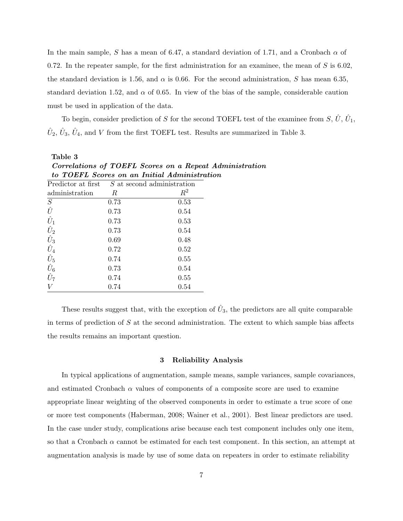In the main sample, S has a mean of 6.47, a standard deviation of 1.71, and a Cronbach  $\alpha$  of 0.72. In the repeater sample, for the first administration for an examinee, the mean of  $S$  is 6.02, the standard deviation is 1.56, and  $\alpha$  is 0.66. For the second administration, S has mean 6.35, standard deviation 1.52, and  $\alpha$  of 0.65. In view of the bias of the sample, considerable caution must be used in application of the data.

To begin, consider prediction of S for the second TOEFL test of the examinee from  $S, \hat{U}, \hat{U}_1$ ,  $\hat{U}_2$ ,  $\hat{U}_3$ ,  $\hat{U}_4$ , and V from the first TOEFL test. Results are summarized in Table 3.

|                               |      | Corretations of TOETH Scores on a Repeat A      |
|-------------------------------|------|-------------------------------------------------|
|                               |      | to TOEFL Scores on an Initial Administratio     |
|                               |      | Predictor at first $S$ at second administration |
| administration                | R    | $R^2$                                           |
| S                             | 0.73 | 0.53                                            |
| Û                             | 0.73 | 0.54                                            |
| $\hat{U}_1$                   | 0.73 | 0.53                                            |
| $\hat{U}_2$                   | 0.73 | 0.54                                            |
| $\frac{\hat{U}_3}{\hat{U}_4}$ | 0.69 | 0.48                                            |
|                               | 0.72 | 0.52                                            |
| $\hat{U}_5$ $\hat{U}_6$       | 0.74 | 0.55                                            |
|                               | 0.73 | 0.54                                            |
| $\hat{U}_7$                   | 0.74 | 0.55                                            |
|                               | 0.74 | $0.54\,$                                        |

Table 3 Correlations of TOEFL Scores on a Repeat Administration to TOEFL Scores on an Initial Administration

These results suggest that, with the exception of  $\hat{U}_3$ , the predictors are all quite comparable in terms of prediction of  $S$  at the second administration. The extent to which sample bias affects the results remains an important question.

#### 3 Reliability Analysis

In typical applications of augmentation, sample means, sample variances, sample covariances, and estimated Cronbach  $\alpha$  values of components of a composite score are used to examine appropriate linear weighting of the observed components in order to estimate a true score of one or more test components (Haberman, 2008; Wainer et al., 2001). Best linear predictors are used. In the case under study, complications arise because each test component includes only one item, so that a Cronbach  $\alpha$  cannot be estimated for each test component. In this section, an attempt at augmentation analysis is made by use of some data on repeaters in order to estimate reliability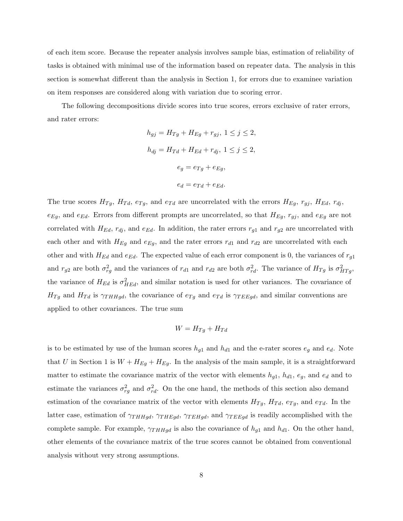of each item score. Because the repeater analysis involves sample bias, estimation of reliability of tasks is obtained with minimal use of the information based on repeater data. The analysis in this section is somewhat different than the analysis in Section 1, for errors due to examinee variation on item responses are considered along with variation due to scoring error.

The following decompositions divide scores into true scores, errors exclusive of rater errors, and rater errors:

$$
h_{gj} = H_{Tg} + H_{Eg} + r_{gj}, \ 1 \le j \le 2,
$$
  
\n
$$
h_{dj} = H_{Td} + H_{Ed} + r_{dj}, \ 1 \le j \le 2,
$$
  
\n
$$
e_g = e_{Tg} + e_{Eg},
$$
  
\n
$$
e_d = e_{Td} + e_{Ed}.
$$

The true scores  $H_{Tg}$ ,  $H_{Td}$ ,  $e_{Tg}$ , and  $e_{Td}$  are uncorrelated with the errors  $H_{Eg}$ ,  $r_{gj}$ ,  $H_{Ed}$ ,  $r_{dj}$ ,  $e_{Eg}$ , and  $e_{Ed}$ . Errors from different prompts are uncorrelated, so that  $H_{Eg}$ ,  $r_{gj}$ , and  $e_{Eg}$  are not correlated with  $H_{Ed}$ ,  $r_{dj}$ , and  $e_{Ed}$ . In addition, the rater errors  $r_{g1}$  and  $r_{g2}$  are uncorrelated with each other and with  $H_{Eg}$  and  $e_{Eg}$ , and the rater errors  $r_{d1}$  and  $r_{d2}$  are uncorrelated with each other and with  $H_{Ed}$  and  $e_{Ed}$ . The expected value of each error component is 0, the variances of  $r_{g1}$ and  $r_{g2}$  are both  $\sigma_{rg}^2$  and the variances of  $r_{d1}$  and  $r_{d2}$  are both  $\sigma_{rd}^2$ . The variance of  $H_{Tg}$  is  $\sigma_{HTg}^2$ , the variance of  $H_{Ed}$  is  $\sigma_{HEd}^2$ , and similar notation is used for other variances. The covariance of  $H_{Tg}$  and  $H_{Td}$  is  $\gamma_{THHgd}$ , the covariance of  $e_{Tg}$  and  $e_{Td}$  is  $\gamma_{TEEgd}$ , and similar conventions are applied to other covariances. The true sum

$$
W = H_{Tg} + H_{Td}
$$

is to be estimated by use of the human scores  $h_{g1}$  and  $h_{d1}$  and the e-rater scores  $e_g$  and  $e_d$ . Note that U in Section 1 is  $W + H_{Eg} + H_{Eg}$ . In the analysis of the main sample, it is a straightforward matter to estimate the covariance matrix of the vector with elements  $h_{g1}$ ,  $h_{d1}$ ,  $e_g$ , and  $e_d$  and to estimate the variances  $\sigma_{rg}^2$  and  $\sigma_{rd}^2$ . On the one hand, the methods of this section also demand estimation of the covariance matrix of the vector with elements  $H_{Tg}$ ,  $H_{Td}$ ,  $e_{Tg}$ , and  $e_{Td}$ . In the latter case, estimation of  $\gamma_{THHgd}$ ,  $\gamma_{THEgd}$ ,  $\gamma_{TEHgd}$ , and  $\gamma_{TEEgd}$  is readily accomplished with the complete sample. For example,  $\gamma_{THHgd}$  is also the covariance of  $h_{g1}$  and  $h_{d1}$ . On the other hand, other elements of the covariance matrix of the true scores cannot be obtained from conventional analysis without very strong assumptions.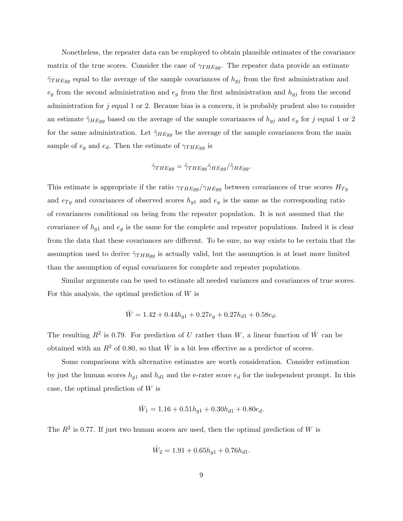Nonetheless, the repeater data can be employed to obtain plausible estimates of the covariance matrix of the true scores. Consider the case of  $\gamma_{THEgg}$ . The repeater data provide an estimate  $\tilde{\gamma}_{THEgg}$  equal to the average of the sample covariances of  $h_{gj}$  from the first administration and  $e_g$  from the second administration and  $e_g$  from the first administration and  $h_{gj}$  from the second administration for j equal 1 or 2. Because bias is a concern, it is probably prudent also to consider an estimate  $\tilde{\gamma}_{HEq\bar{q}}$  based on the average of the sample covariances of  $h_{q\bar{j}}$  and  $e_q$  for j equal 1 or 2 for the same administration. Let  $\hat{\gamma}_{H E g g}$  be the average of the sample covariances from the main sample of  $e_g$  and  $e_d$ . Then the estimate of  $\gamma_{THEgg}$  is

$$
\hat{\gamma}_{THEgg} = \tilde{\gamma}_{THEgg} \hat{\gamma}_{HEgg} / \tilde{\gamma}_{HEgg}.
$$

This estimate is appropriate if the ratio  $\gamma_{THEgg}/\gamma_{HEgg}$  between covariances of true scores  $H_{Tg}$ and  $e_{Tg}$  and covariances of observed scores  $h_{g1}$  and  $e_g$  is the same as the corresponding ratio of covariances conditional on being from the repeater population. It is not assumed that the covariance of  $h_{g1}$  and  $e_g$  is the same for the complete and repeater populations. Indeed it is clear from the data that these covariances are different. To be sure, no way exists to be certain that the assumption used to derive  $\hat{\gamma}_{THRqq}$  is actually valid, but the assumption is at least more limited than the assumption of equal covariances for complete and repeater populations.

Similar arguments can be used to estimate all needed variances and covariances of true scores. For this analysis, the optimal prediction of  $W$  is

$$
\hat{W} = 1.42 + 0.44h_{g1} + 0.27e_g + 0.27h_{d1} + 0.58e_d.
$$

The resulting  $R^2$  is 0.79. For prediction of U rather than W, a linear function of  $\hat{W}$  can be obtained with an  $R^2$  of 0.80, so that  $\hat{W}$  is a bit less effective as a predictor of scores.

Some comparisons with alternative estimates are worth consideration. Consider estimation by just the human scores  $h_{g1}$  and  $h_{d1}$  and the e-rater score  $e_d$  for the independent prompt. In this case, the optimal prediction of  $W$  is

$$
\hat{W}_1 = 1.16 + 0.51h_{g1} + 0.30h_{d1} + 0.80e_d.
$$

The  $R^2$  is 0.77. If just two human scores are used, then the optimal prediction of W is

$$
\hat{W}_2 = 1.91 + 0.65h_{g1} + 0.76h_{d1}.
$$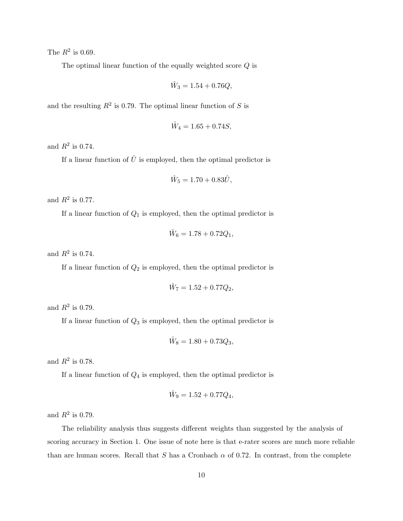The  $R^2$  is 0.69.

The optimal linear function of the equally weighted score  $Q$  is

$$
\hat{W}_3 = 1.54 + 0.76Q,
$$

and the resulting  $R^2$  is 0.79. The optimal linear function of S is

$$
\hat{W}_4 = 1.65 + 0.74S,
$$

and  $R^2$  is 0.74.

If a linear function of  $\hat{U}$  is employed, then the optimal predictor is

$$
\hat{W}_5 = 1.70 + 0.83\hat{U},
$$

and  $R^2$  is 0.77.

If a linear function of  $Q_1$  is employed, then the optimal predictor is

$$
\hat{W}_6 = 1.78 + 0.72Q_1,
$$

and  $R^2$  is 0.74.

If a linear function of  $Q_2$  is employed, then the optimal predictor is

$$
\hat{W}_7 = 1.52 + 0.77Q_2,
$$

and  $R^2$  is 0.79.

If a linear function of  $Q_3$  is employed, then the optimal predictor is

$$
\hat{W}_8 = 1.80 + 0.73Q_3,
$$

and  $R^2$  is 0.78.

If a linear function of  $Q_4$  is employed, then the optimal predictor is

$$
\hat{W}_9 = 1.52 + 0.77Q_4,
$$

and  $R^2$  is 0.79.

The reliability analysis thus suggests different weights than suggested by the analysis of scoring accuracy in Section 1. One issue of note here is that e-rater scores are much more reliable than are human scores. Recall that S has a Cronbach  $\alpha$  of 0.72. In contrast, from the complete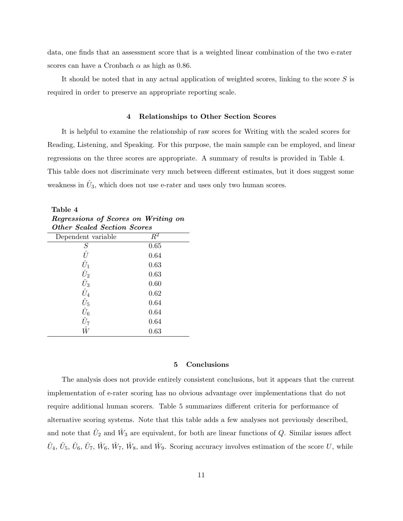data, one finds that an assessment score that is a weighted linear combination of the two e-rater scores can have a Cronbach  $\alpha$  as high as 0.86.

It should be noted that in any actual application of weighted scores, linking to the score  $S$  is required in order to preserve an appropriate reporting scale.

#### 4 Relationships to Other Section Scores

It is helpful to examine the relationship of raw scores for Writing with the scaled scores for Reading, Listening, and Speaking. For this purpose, the main sample can be employed, and linear regressions on the three scores are appropriate. A summary of results is provided in Table 4. This table does not discriminate very much between different estimates, but it does suggest some weakness in  $\hat{U}_3$ , which does not use e-rater and uses only two human scores.

| Regressions of Scores on Writing on       |       |  |  |  |
|-------------------------------------------|-------|--|--|--|
| <i><b>Other Scaled Section Scores</b></i> |       |  |  |  |
| Dependent variable                        | $R^2$ |  |  |  |
| S                                         | 0.65  |  |  |  |
| Û                                         | 0.64  |  |  |  |
| $\hat{U}_1$                               | 0.63  |  |  |  |
| $\hat{U}_2$                               | 0.63  |  |  |  |
| $\hat{U}_3$                               | 0.60  |  |  |  |
| $\hat{U}_4$                               | 0.62  |  |  |  |
| $\hat{U}_5$                               | 0.64  |  |  |  |
| $\hat{U}_6$                               | 0.64  |  |  |  |
| $\hat{U}_7$                               | 0.64  |  |  |  |
|                                           | 0.63  |  |  |  |

Table 4

#### 5 Conclusions

The analysis does not provide entirely consistent conclusions, but it appears that the current implementation of e-rater scoring has no obvious advantage over implementations that do not require additional human scorers. Table 5 summarizes different criteria for performance of alternative scoring systems. Note that this table adds a few analyses not previously described, and note that  $\hat{U}_2$  and  $\hat{W}_3$  are equivalent, for both are linear functions of Q. Similar issues affect  $\hat{U}_4, \hat{U}_5, \hat{U}_6, \hat{U}_7, \hat{W}_6, \hat{W}_7, \hat{W}_8$ , and  $\hat{W}_9$ . Scoring accuracy involves estimation of the score U, while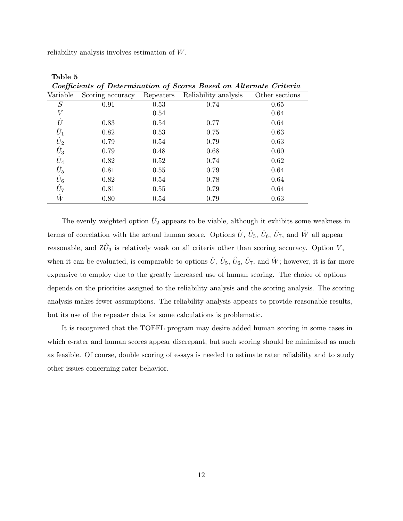reliability analysis involves estimation of W.

| Coefficients of Determination of Scores Based on Alternate Criteria |                  |           |                      |                |  |
|---------------------------------------------------------------------|------------------|-----------|----------------------|----------------|--|
| Variable                                                            | Scoring accuracy | Repeaters | Reliability analysis | Other sections |  |
| S                                                                   | 0.91             | 0.53      | 0.74                 | 0.65           |  |
| V                                                                   |                  | 0.54      |                      | 0.64           |  |
| Û                                                                   | 0.83             | 0.54      | 0.77                 | 0.64           |  |
| $\hat{U}_1$                                                         | 0.82             | 0.53      | 0.75                 | 0.63           |  |
| $\hat{U}_2$                                                         | 0.79             | 0.54      | 0.79                 | 0.63           |  |
| $\hat{U}_3$                                                         | 0.79             | 0.48      | 0.68                 | 0.60           |  |
| $\hat{U}_4$                                                         | 0.82             | 0.52      | 0.74                 | 0.62           |  |
| $\hat{U}_5$                                                         | 0.81             | 0.55      | 0.79                 | 0.64           |  |
| $\hat{U}_6$                                                         | 0.82             | 0.54      | 0.78                 | 0.64           |  |
| $\hat{U}_7$                                                         | 0.81             | 0.55      | 0.79                 | 0.64           |  |
| $\hat{W}$                                                           | 0.80             | 0.54      | 0.79                 | 0.63           |  |

Table 5 Coefficients of Determination of Scores Based on Alternate Criteria

The evenly weighted option  $\hat{U}_2$  appears to be viable, although it exhibits some weakness in terms of correlation with the actual human score. Options  $\hat{U}$ ,  $\hat{U}_5$ ,  $\hat{U}_6$ ,  $\hat{U}_7$ , and  $\hat{W}$  all appear reasonable, and  $Z\hat{U}_3$  is relatively weak on all criteria other than scoring accuracy. Option V, when it can be evaluated, is comparable to options  $\hat{U}$ ,  $\hat{U}_5$ ,  $\hat{U}_6$ ,  $\hat{U}_7$ , and  $\hat{W}$ ; however, it is far more expensive to employ due to the greatly increased use of human scoring. The choice of options depends on the priorities assigned to the reliability analysis and the scoring analysis. The scoring analysis makes fewer assumptions. The reliability analysis appears to provide reasonable results, but its use of the repeater data for some calculations is problematic.

It is recognized that the TOEFL program may desire added human scoring in some cases in which e-rater and human scores appear discrepant, but such scoring should be minimized as much as feasible. Of course, double scoring of essays is needed to estimate rater reliability and to study other issues concerning rater behavior.